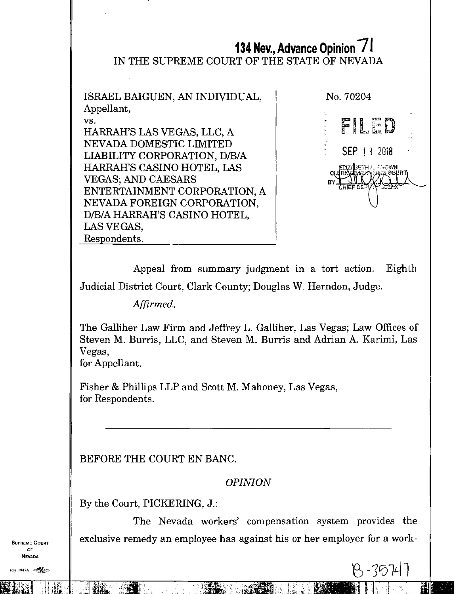## **134 Nev., Advance Opinion 71**  IN THE SUPREME COURT OF THE STATE OF NEVADA

ISRAEL BAIGUEN, AN INDIVIDUAL, Appellant, vs. HARRAH'S LAS VEGAS, LLC, A NEVADA DOMESTIC LIMITED LIABILITY CORPORATION, D/B/A HARRAH'S CASINO HOTEL, LAS VEGAS; AND CAESARS ENTERTAINMENT CORPORATION, A NEVADA FOREIGN CORPORATION, D/B/A HARRAH'S CASINO HOTEL, LAS VEGAS, Respondents.



 $19 - 7071$ 

Appeal from summary judgment in a tort action. Eighth Judicial District Court, Clark County; Douglas W. Herndon, Judge.

*Affirmed.* 

The Galliher Law Firm and Jeffrey L. Galliher, Las Vegas; Law Offices of Steven M. Burris, LLC, and Steven M. Burris and Adrian A. Karimi, Las Vegas,

for Appellant.

Fisher & Phillips LLP and Scott M. Mahoney, Las Vegas, for Respondents.

BEFORE THE COURT EN BANC.

*OPINION* 

By the Court, PICKERING, J.:

The Nevada workers' compensation system provides the SUPREME COURT  $\parallel$  exclusive remedy an employee has against his or her employer for a work-

OF NEVADA

(0) 947A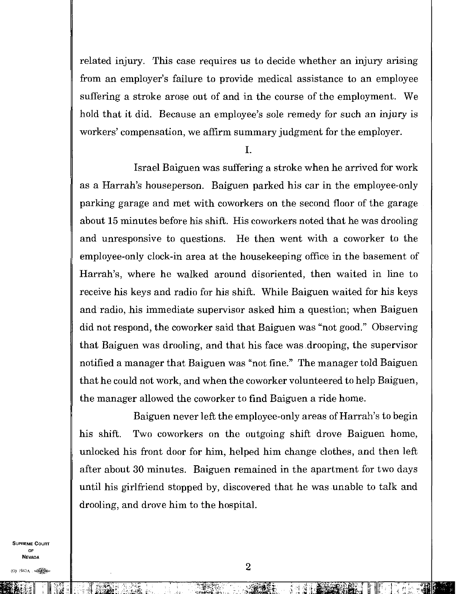related injury. This case requires us to decide whether an injury arising from an employer's failure to provide medical assistance to an employee suffering a stroke arose out of and in the course of the employment. We hold that it did. Because an employee's sole remedy for such an injury is workers' compensation, we affirm summary judgment for the employer.

I.

Israel Baiguen was suffering a stroke when he arrived for work as a Harrah's houseperson. Baiguen parked his car in the employee-only parking garage and met with coworkers on the second floor of the garage about 15 minutes before his shift. His coworkers noted that he was drooling and unresponsive to questions. He then went with a coworker to the employee-only clock-in area at the housekeeping office in the basement of Harrah's, where he walked around disoriented, then waited in line to receive his keys and radio for his shift. While Baiguen waited for his keys and radio, his immediate supervisor asked him a question; when Baiguen did not respond, the coworker said that Baiguen was "not good." Observing that Baiguen was drooling, and that his face was drooping, the supervisor notified a manager that Baiguen was "not fine." The manager told Baiguen that he could not work, and when the coworker volunteered to help Baiguen, the manager allowed the coworker to find Baiguen a ride home.

Baiguen never left the employee-only areas of Harrah's to begin his shift. Two coworkers on the outgoing shift drove Baiguen home, unlocked his front door for him, helped him change clothes, and then left after about 30 minutes. Baiguen remained in the apartment for two days until his girlfriend stopped by, discovered that he was unable to talk and drooling, and drove him to the hospital.

SUPREME COURT OF NEVADA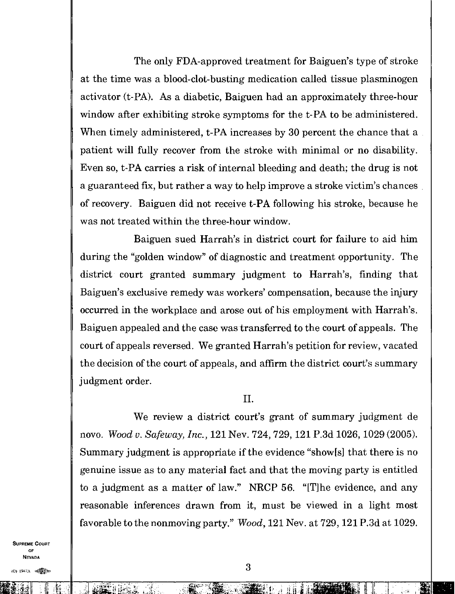The only FDA-approved treatment for Baiguen's type of stroke at the time was a blood-clot-busting medication called tissue plasminogen activator (t-PA). As a diabetic, Baiguen had an approximately three-hour window after exhibiting stroke symptoms for the t-PA to be administered. When timely administered, t-PA increases by 30 percent the chance that a patient will fully recover from the stroke with minimal or no disability. Even so, t-PA carries a risk of internal bleeding and death; the drug is not a guaranteed fix, but rather a way to help improve a stroke victim's chances of recovery. Baiguen did not receive t-PA following his stroke, because he was not treated within the three-hour window.

Baiguen sued Harrah's in district court for failure to aid him during the "golden window" of diagnostic and treatment opportunity. The district court granted summary judgment to Harrah's, finding that Baiguen's exclusive remedy was workers' compensation, because the injury occurred in the workplace and arose out of his employment with Harrah's. Baiguen appealed and the case was transferred to the court of appeals. The court of appeals reversed. We granted Harrah's petition for review, vacated the decision of the court of appeals, and affirm the district court's summary judgment order.

## II.

We review a district court's grant of summary judgment de novo. *Wood v. Safeway, Inc.,* 121 Nev. 724, 729, 121 P.3d 1026, 1029 (2005). Summary judgment is appropriate if the evidence "show [s] that there is no genuine issue as to any material fact and that the moving party is entitled to a judgment as a matter of law." NRCP 56. "[T] he evidence, and any reasonable inferences drawn from it, must be viewed in a light most favorable to the nonmoving party." *Wood,* 121 Nev. at 729, 121 P.3d at 1029.

SUPREME COURT OF NEVADA

,i1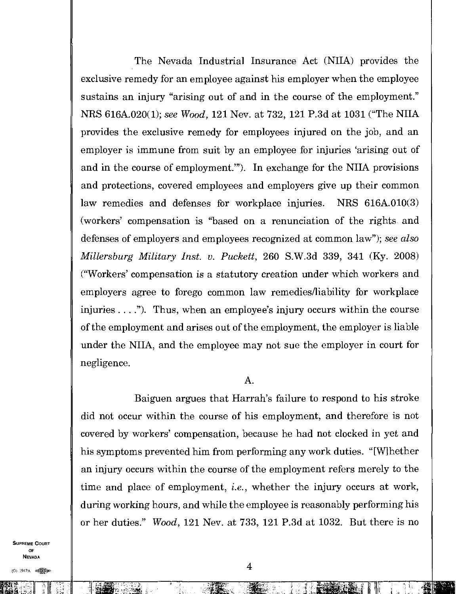The Nevada Industrial Insurance Act (NIIA) provides the exclusive remedy for an employee against his employer when the employee sustains an injury "arising out of and in the course of the employment." NRS 616A.020(1); *see Wood,* 121 Nev. at 732, 121 P.3d at 1031 ("The NIIA provides the exclusive remedy for employees injured on the job, and an employer is immune from suit by an employee for injuries 'arising out of and in the course of employment."). In exchange for the NITA provisions and protections, covered employees and employers give up their common law remedies and defenses for workplace injuries. NRS 616A.010(3) (workers' compensation is "based on a renunciation of the rights and defenses of employers and employees recognized at common law"); *see also Millersburg Military Inst. v. Puckett,* 260 S.W.3d 339, 341 (Ky. 2008) ("Workers' compensation is a statutory creation under which workers and employers agree to forego common law remedies/liability for workplace injuries  $\dots$ "). Thus, when an employee's injury occurs within the course of the employment and arises out of the employment, the employer is liable under the NIIA, and the employee may not sue the employer in court for negligence.

## A.

Baiguen argues that Harrah's failure to respond to his stroke did not occur within the course of his employment, and therefore is not covered by workers' compensation, because he had not clocked in yet and his symptoms prevented him from performing any work duties. "[Whether an injury occurs within the course of the employment refers merely to the time and place of employment, *i.e.,* whether the injury occurs at work, during working hours, and while the employee is reasonably performing his or her duties." *Wood,* 121 Nev. at 733, 121 P.3d at 1032. But there is no

SUPREME COURT OF NEVADA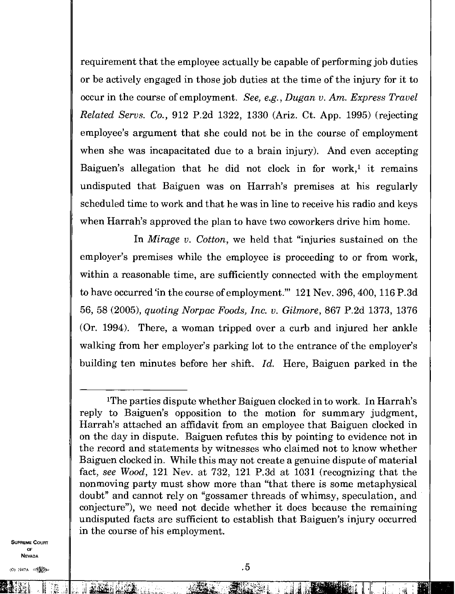requirement that the employee actually be capable of performing job duties or be actively engaged in those job duties at the time of the injury for it to occur in the course of employment. *See, e.g., Dugan v. Am. Express Travel Related Servs. Co.,* 912 P.2d 1322, 1330 (Ariz. Ct. App. 1995) (rejecting employee's argument that she could not be in the course of employment when she was incapacitated due to a brain injury). And even accepting Baiguen's allegation that he did not clock in for work,<sup>1</sup> it remains undisputed that Baiguen was on Harrah's premises at his regularly scheduled time to work and that he was in line to receive his radio and keys when Harrah's approved the plan to have two coworkers drive him home.

In *Mirage v. Cotton,* we held that "injuries sustained on the employer's premises while the employee is proceeding to or from work, within a reasonable time, are sufficiently connected with the employment to have occurred 'in the course of employment." 121 Nev. 396, 400, 116 P.3d 56, 58 (2005), *quoting Norpac Foods, Inc. v. Gilmore,* 867 P.2d 1373, 1376 (Or. 1994). There, a woman tripped over a curb and injured her ankle walking from her employer's parking lot to the entrance of the employer's building ten minutes before her shift. *Id.* Here, Baiguen parked in the

SUPREME COURT OF NEVADA

 $\mathbb{Z}[\mathbb{M}]$  .

<sup>&</sup>lt;sup>1</sup>The parties dispute whether Baiguen clocked in to work. In Harrah's reply to Baiguen's opposition to the motion for summary judgment, Harrah's attached an affidavit from an employee that Baiguen clocked in on the day in dispute. Baiguen refutes this by pointing to evidence not in the record and statements by witnesses who claimed not to know whether Baiguen clocked in. While this may not create a genuine dispute of material fact, *see Wood,* 121 Nev. at 732, 121 P.3d at 1031 (recognizing that the nonmoving party must show more than "that there is some metaphysical doubt" and cannot rely on "gossamer threads of whimsy, speculation, and conjecture"), we need not decide whether it does because the remaining undisputed facts are sufficient to establish that Baiguen's injury occurred in the course of his employment.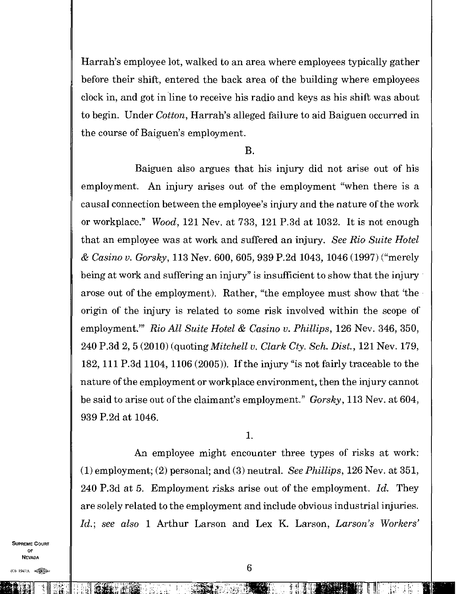Harrah's employee lot, walked to an area where employees typically gather before their shift, entered the back area of the building where employees clock in, and got in line to receive his radio and keys as his shift was about to begin. Under *Cotton,* Harrah's alleged failure to aid Baiguen occurred in the course of Baiguen's employment.

## B.

Baiguen also argues that his injury did not arise out of his employment. An injury arises out of the employment "when there is a causal connection between the employee's injury and the nature of the work or workplace." *Wood,* 121 Nev. at 733, 121 P.3d at 1032. It is not enough that an employee was at work and suffered an injury. *See Rio Suite Hotel & Casino v. Gorsky,* 113 Nev. 600, 605, 939 P.2d 1043, 1046 (1997) ("merely being at work and suffering an injury" is insufficient to show that the injury arose out of the employment). Rather, "the employee must show that 'the origin of the injury is related to some risk involved within the scope of employment." *Rio All Suite Hotel & Casino v. Phillips*, 126 Nev. 346, 350, 240 P.3d 2,5 (2010) (quoting *Mitchell v. Clark Cty. Sch. Dist.,* 121 Nev. 179, 182, 111 P.3d 1104, 1106 (2005)). If the injury "is not fairly traceable to the nature of the employment or workplace environment, then the injury cannot be said to arise out of the claimant's employment." *Gorsky,* 113 Nev. at 604, 939 P.2d at 1046.

1.

An employee might encounter three types of risks at work: (1) employment; (2) personal; and (3) neutral. *See Phillips,* 126 Nev. at 351, 240 P.3d at 5. Employment risks arise out of the employment. *Id.* They are solely related to the employment and include obvious industrial injuries. *Id.; see also* 1 Arthur Larson and Lex K. Larson, *Larson's Workers'* 

SUPREME COURT OF NEVADA

 $(0)$  1947A  $\bigotimes$ 

 $\frac{1}{\sqrt{2}}$  ,  $\frac{1}{\sqrt{2}}$  ,  $\frac{1}{\sqrt{2}}$  ,  $\frac{1}{\sqrt{2}}$ 

**"Fi: Winter 1 (1)**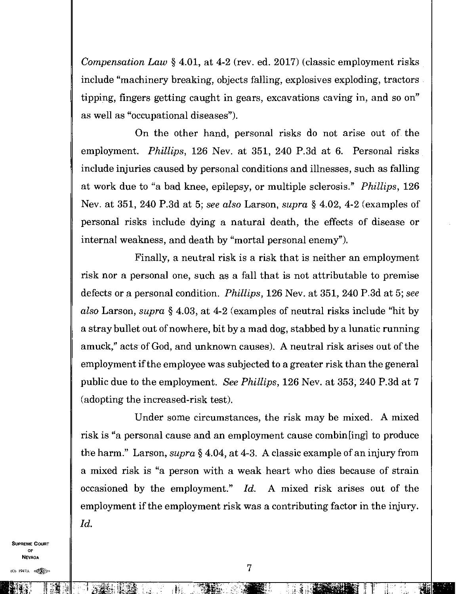*Compensation Law \\.* 4.01, at 4-2 (rev. ed. 2017) (classic employment risks include "machinery breaking, objects falling, explosives exploding, tractors tipping, fingers getting caught in gears, excavations caving in, and so on" as well as "occupational diseases").

On the other hand, personal risks do not arise out of the employment. *Phillips,* 126 Nev. at 351, 240 P.3d at 6. Personal risks include injuries caused by personal conditions and illnesses, such as falling at work due to "a bad knee, epilepsy, or multiple sclerosis." *Phillips,* 126 Nev. at 351, 240 P.3d at 5; *see also* Larson, *supra §* 4.02, 4-2 (examples of personal risks include dying a natural death, the effects of disease or internal weakness, and death by "mortal personal enemy").

Finally, a neutral risk is a risk that is neither an employment risk nor a personal one, such as a fall that is not attributable to premise defects or a personal condition. *Phillips,* 126 Nev. at 351, 240 P.3d at 5; *see also* Larson, *supra §* 4.03, at 4-2 (examples of neutral risks include "hit by a stray bullet out of nowhere, bit by a mad dog, stabbed by a lunatic running amuck," acts of God, and unknown causes). A neutral risk arises out of the employment if the employee was subjected to a greater risk than the general public due to the employment. *See Phillips,* 126 Nev. at 353, 240 P.3d at 7 (adopting the increased-risk test).

Under some circumstances, the risk may be mixed. A mixed risk is "a personal cause and an employment cause combine to produce the harm" Larson, *supra §* 4.04, at 4-3. A classic example of an injury from a mixed risk is "a person with a weak heart who dies because of strain occasioned by the employment." *Id.* A mixed risk arises out of the employment if the employment risk was a contributing factor in the injury. *Id.* 

SUPREME COURT OF NEVADA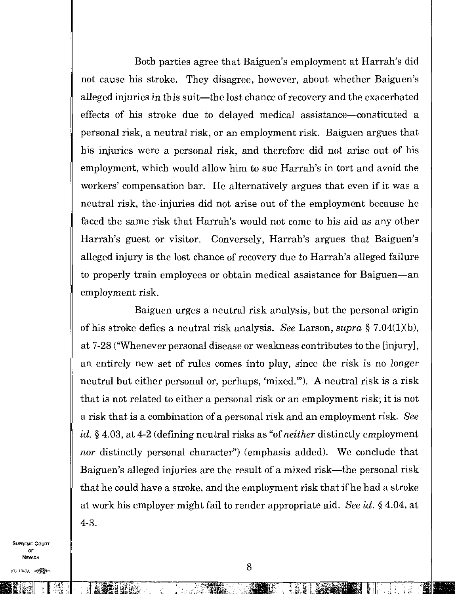Both parties agree that Baiguen's employment at Harrah's did not cause his stroke. They disagree, however, about whether Baiguen's alleged injuries in this suit—the lost chance of recovery and the exacerbated effects of his stroke due to delayed medical assistance—constituted a personal risk, a neutral risk, or an employment risk. Baiguen argues that his injuries were a personal risk, and therefore did not arise out of his employment, which would allow him to sue Harrah's in tort and avoid the workers' compensation bar. He alternatively argues that even if it was a neutral risk, the injuries did not arise out of the employment because he faced the same risk that Harrah's would not come to his aid as any other Harrah's guest or visitor. Conversely, Harrah's argues that Baiguen's alleged injury is the lost chance of recovery due to Harrah's alleged failure to properly train employees or obtain medical assistance for Baiguen—an employment risk.

Baiguen urges a neutral risk analysis, but the personal origin of his stroke defies a neutral risk analysis. *See* Larson, *supra §* 7.04(1)(b), at 7-28 ("Whenever personal disease or weakness contributes to the [injury], an entirely new set of rules comes into play, since the risk is no longer neutral but either personal or, perhaps, 'mixed.'"). A neutral risk is a risk that is not related to either a personal risk or an employment risk; it is not a risk that is a combination of a personal risk and an employment risk. *See Id. §* 4.03, at 4-2 (defining neutral risks as "of *neither* distinctly employment nor distinctly personal character") (emphasis added). We conclude that Baiguen's alleged injuries are the result of a mixed risk—the personal risk that he could have a stroke, and the employment risk that if he had a stroke at work his employer might fail to render appropriate aid. *See id. §* 4.04, at 4-3.

SUPREME COURT OF NEVADA

(0) 1947A

I irtg 911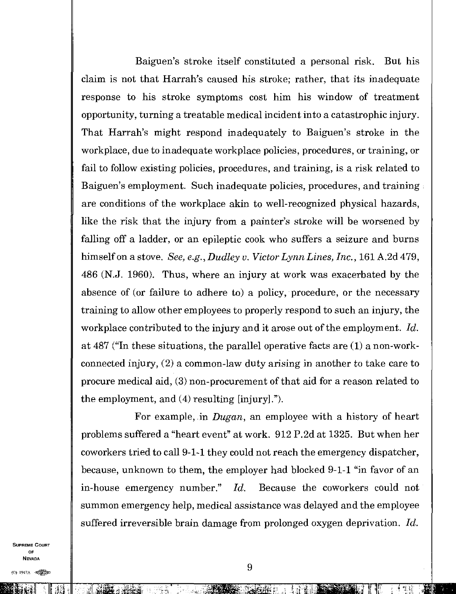Baiguen's stroke itself constituted a personal risk. But his claim is not that Harrah's caused his stroke; rather, that its inadequate response to his stroke symptoms cost him his window of treatment opportunity, turning a treatable medical incident into a catastrophic injury. That Harrah's might respond inadequately to Baiguen's stroke in the workplace, due to inadequate workplace policies, procedures, or training, or fail to follow existing policies, procedures, and training, is a risk related to Baiguen's employment. Such inadequate policies, procedures, and training are conditions of the workplace akin to well-recognized physical hazards, like the risk that the injury from a painter's stroke will be worsened by falling off a ladder, or an epileptic cook who suffers a seizure and burns himself on a stove. *See, e.g., Dudley v. Victor Lynn Lines, Inc.,* 161 A.2d 479, 486 (N.J. 1960). Thus, where an injury at work was exacerbated by the absence of (or failure to adhere to) a policy, procedure, or the necessary training to allow other employees to properly respond to such an injury, the workplace contributed to the injury and it arose out of the employment. *Id.*  at 487 ("In these situations, the parallel operative facts are (1) a non-workconnected injury, (2) a common-law duty arising in another to take care to procure medical aid, (3) non-procurement of that aid for a reason related to the employment, and  $(4)$  resulting [injury].").

For example, in *Dugan,* an employee with a history of heart problems suffered a "heart event" at work. 912 P.2d at 1325. But when her coworkers tried to call 9-1-1 they could not reach the emergency dispatcher, because, unknown to them, the employer had blocked 9-1-1 "in favor of an in-house emergency number." *Id.* Because the coworkers could not summon emergency help, medical assistance was delayed and the employee suffered irreversible brain damage from prolonged oxygen deprivation. *Id.* 

SUPREME COURT OF NEVADA

kg.

<sup>11</sup><sup>1</sup> ; I iii d <sup>I</sup>Tic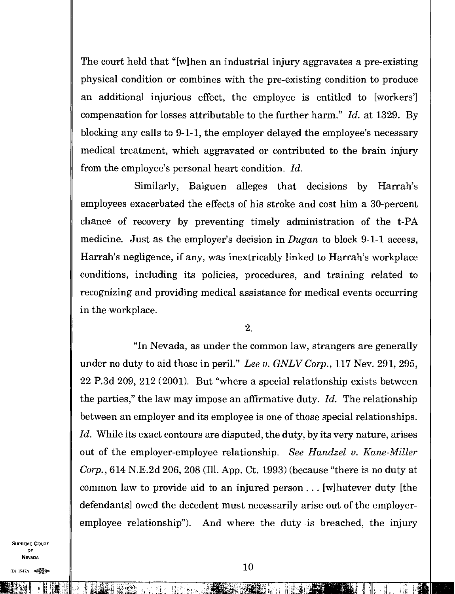The court held that "[w]hen an industrial injury aggravates a pre-existing physical condition or combines with the pre-existing condition to produce an additional injurious effect, the employee is entitled to [workers] compensation for losses attributable to the further harm." *Id.* at 1329. By blocking any calls to 9-1-1, the employer delayed the employee's necessary medical treatment, which aggravated or contributed to the brain injury from the employee's personal heart condition. *Id.* 

Similarly, Baiguen alleges that decisions by Harrah's employees exacerbated the effects of his stroke and cost him a 30-percent chance of recovery by preventing timely administration of the t-PA medicine. Just as the employer's decision in *Dugan* to block 9-1-1 access, Harrah's negligence, if any, was inextricably linked to Harrah's workplace conditions, including its policies, procedures, and training related to recognizing and providing medical assistance for medical events occurring in the workplace.

2.

"In Nevada, as under the common law, strangers are generally under no duty to aid those in peril." *Lee v. GNLV Corp.,* 117 Nev. 291, 295, 22 P.3d 209, 212 (2001). But "where a special relationship exists between the parties," the law may impose an affirmative duty. *Id.* The relationship between an employer and its employee is one of those special relationships. *Id.* While its exact contours are disputed, the duty, by its very nature, arises out of the employer-employee relationship. *See Handzel v. Kane-Miller Corp.,* 614 N.E.2d 206, 208 (Ill. App. Ct. 1993) (because "there is no duty at common law to provide aid to an injured person . . . [w]hatever duty [the defendants] owed the decedent must necessarily arise out of the employeremployee relationship"). And where the duty is breached, the injury

SUPREME COURT OF NEVADA  $N_{EVADA}$ <br>
(O) 1947A  $\ll 10$ 

NEST DIE NEST DIE NEST ALS DER EINER EINER EINE EIN DER EINER EINE EINE EINER EINER EINER EINER EINER EINER EI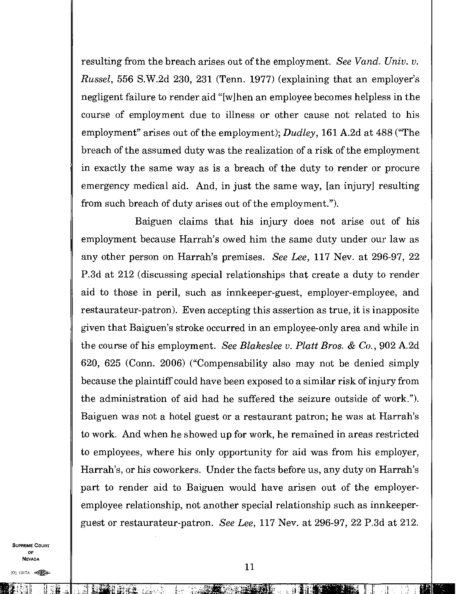resulting from the breach arises out of the employment. *See Vand. Univ. v. Russel,* 556 S.W.2d 230, 231 (Tenn. 1977) (explaining that an employer's negligent failure to render aid "[w]hen an employee becomes helpless in the course of employment due to illness or other cause not related to his employment" arises out of the employment); *Dudley,* 161 A.2d at 488 ("The breach of the assumed duty was the realization of a risk of the employment in exactly the same way as is a breach of the duty to render or procure emergency medical aid. And, in just the same way, [an injury] resulting from such breach of duty arises out of the employment.").

Baiguen claims that his injury does not arise out of his employment because Harrah's owed him the same duty under our law as any other person on Harrah's premises. *See Lee,* 117 Nev. at 296-97, 22 P.3d at 212 (discussing special relationships that create a duty to render aid to those in peril, such as innkeeper-guest, employer-employee, and restaurateur-patron). Even accepting this assertion as true, it is inapposite given that Baiguen's stroke occurred in an employee-only area and while in the course of his employment. *See Blakeslee v. Platt Bros. & Co.*, 902 A.2d 620, 625 (Conn. 2006) ("Compensability also may not be denied simply because the plaintiff could have been exposed to a similar risk of injury from the administration of aid had he suffered the seizure outside of work."). Baiguen was not a hotel guest or a restaurant patron; he was at Harrah's to work. And when he showed up for work, he remained in areas restricted to employees, where his only opportunity for aid was from his employer, Harrah's, or his coworkers. Under the facts before us, any duty on Harrah's part to render aid to Baiguen would have arisen out of the employeremployee relationship, not another special relationship such as innkeeperguest or restaurateur-patron. *See Lee,* 117 Nev. at 296-97, 22 P.3d at 212.

SUPREME COURT OF NEVADA

(O) 1947A 电图

II 1E1 EziE